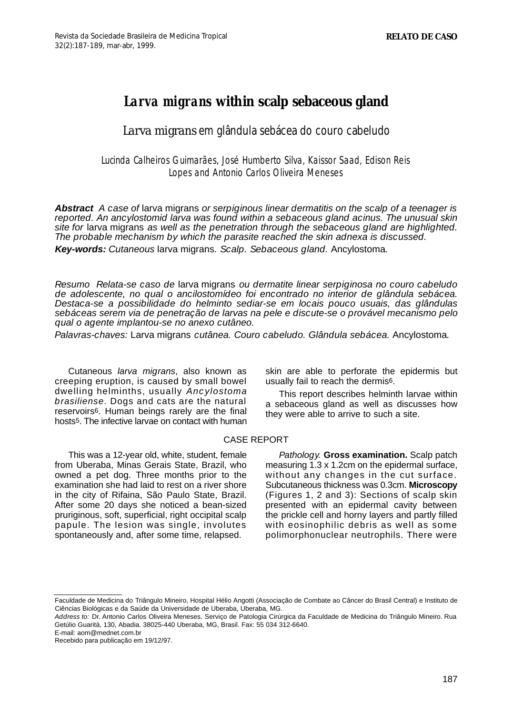# *Larva migrans* **within scalp sebaceous gland**

## *Larva migrans* em glândula sebácea do couro cabeludo

### Lucinda Calheiros Guimarães, José Humberto Silva, Kaissor Saad, Edison Reis Lopes and Antonio Carlos Oliveira Meneses

**Abstract** *A case of* larva migrans *or serpiginous linear dermatitis on the scalp of a teenager is reported. An ancylostomid larva was found within a sebaceous gland acinus. The unusual skin site for* larva migrans *as well as the penetration through the sebaceous gland are highlighted. The probable mechanism by which the parasite reached the skin adnexa is discussed.*

**Key-words:** *Cutaneous* larva migrans*. Scalp. Sebaceous gland.* Ancylostoma*.*

*Resumo Relata-se caso de* larva migrans *ou dermatite linear serpiginosa no couro cabeludo de adolescente, no qual o ancilostomídeo foi encontrado no interior de glândula sebácea. Destaca-se a possibilidade do helminto sediar-se em locais pouco usuais, das glândulas sebáceas serem via de penetração de larvas na pele e discute-se o provável mecanismo pelo qual o agente implantou-se no anexo cutâneo.* 

*Palavras-chaves:* Larva migrans *cutânea. Couro cabeludo. Glândula sebácea.* Ancylostoma*.*

Cutaneous *larva migrans*, also known as creeping eruption, is caused by small bowel dwelling helminths, usually *A n c y l o s t o m a brasiliense.* Dogs and cats are the natural reservoirs6. Human beings rarely are the final hosts<sup>5</sup>. The infective larvae on contact with human skin are able to perforate the epidermis but usually fail to reach the dermis6.

This report describes helminth larvae within a sebaceous gland as well as discusses how they were able to arrive to such a site.

#### CASE REPORT

This was a 12-year old, white, student, female from Uberaba, Minas Gerais State, Brazil, who owned a pet dog. Three months prior to the examination she had laid to rest on a river shore in the city of Rifaina, São Paulo State, Brazil. After some 20 days she noticed a bean-sized pruriginous, soft, superficial, right occipital scalp papule. The lesion was single, involutes spontaneously and, after some time, relapsed.

*Pathology.* **Gross examination.** Scalp patch measuring 1.3 x 1.2cm on the epidermal surface, without any changes in the cut surface. Subcutaneous thickness was 0.3cm. **Microscopy** (Figures 1, 2 and 3): Sections of scalp skin presented with an epidermal cavity between the prickle cell and horny layers and partly filled with eosinophilic debris as well as some polimorphonuclear neutrophils. There were

E-mail: aom@mednet.com.br

Faculdade de Medicina do Triângulo Mineiro, Hospital Hélio Angotti (Associação de Combate ao Câncer do Brasil Central) e Instituto de Ciências Biológicas e da Saúde da Universidade de Uberaba, Uberaba, MG.

*Address to:* Dr. Antonio Carlos Oliveira Meneses. Serviço de Patologia Cirúrgica da Faculdade de Medicina do Triângulo Mineiro. Rua Getúlio Guaritá, 130, Abadia. 38025-440 Uberaba, MG, Brasil. Fax: 55 034 312-6640.

Recebido para publicação em 19/12/97.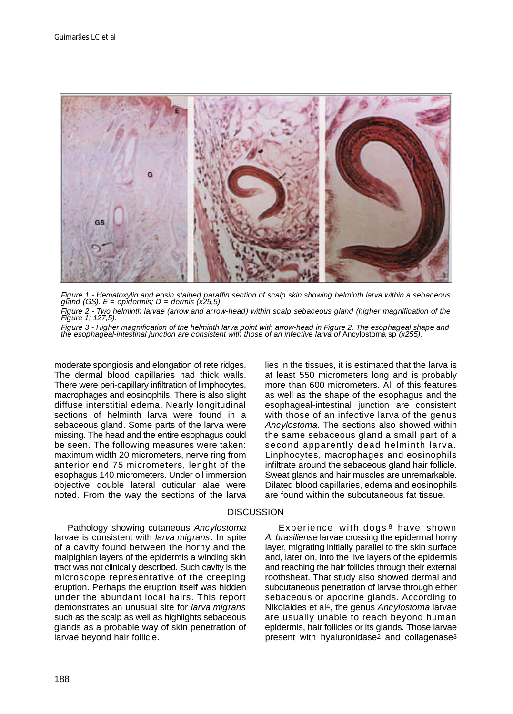

*Figure 1 - Hematoxylin and eosin stained paraffin section of scalp skin showing helminth larva within a sebaceous gland (GS). E = epidermis; D = dermis (x25,5). Figure 2 - Two helminth larvae (arrow and arrow-head) within scalp sebaceous gland (higher magnification of the Figure 1; 127,5).*

Figure 3 - Higher magnification of the helminth larva point with arrow-head in Figure 2. The esophageal shape and<br>the esophageal-intestinal junction are consistent with those of an infective larva of **Ancylostoma sp** (x255

moderate spongiosis and elongation of rete ridges. The dermal blood capillaries had thick walls. There were peri-capillary infiltration of limphocytes, macrophages and eosinophils. There is also slight diffuse interstitial edema. Nearly longitudinal sections of helminth larva were found in a sebaceous gland. Some parts of the larva were missing. The head and the entire esophagus could be seen. The following measures were taken: maximum width 20 micrometers, nerve ring from anterior end 75 micrometers, lenght of the esophagus 140 micrometers. Under oil immersion objective double lateral cuticular alae were noted. From the way the sections of the larva lies in the tissues, it is estimated that the larva is at least 550 micrometers long and is probably more than 600 micrometers. All of this features as well as the shape of the esophagus and the esophageal-intestinal junction are consistent with those of an infective larva of the genus *Ancylostoma*. The sections also showed within the same sebaceous gland a small part of a second apparently dead helminth larva. Linphocytes, macrophages and eosinophils infiltrate around the sebaceous gland hair follicle. Sweat glands and hair muscles are unremarkable. Dilated blood capillaries, edema and eosinophils are found within the subcutaneous fat tissue.

#### **DISCUSSION**

Pathology showing cutaneous *Ancylostoma* larvae is consistent with *larva migrans*. In spite of a cavity found between the horny and the malpighian layers of the epidermis a winding skin tract was not clinically described. Such cavity is the microscope representative of the creeping eruption. Perhaps the eruption itself was hidden under the abundant local hairs. This report demonstrates an unusual site for *larva migrans* such as the scalp as well as highlights sebaceous glands as a probable way of skin penetration of larvae beyond hair follicle.

Experience with dogs<sup>8</sup> have shown *A. brasiliense* larvae crossing the epidermal horny layer, migrating initially parallel to the skin surface and, later on, into the live layers of the epidermis and reaching the hair follicles through their external roothsheat. That study also showed dermal and subcutaneous penetration of larvae through either sebaceous or apocrine glands. According to Nikolaides et al4, the genus *Ancylostoma* larvae are usually unable to reach beyond human epidermis, hair follicles or its glands. Those larvae present with hyaluronidase2 and collagenase3